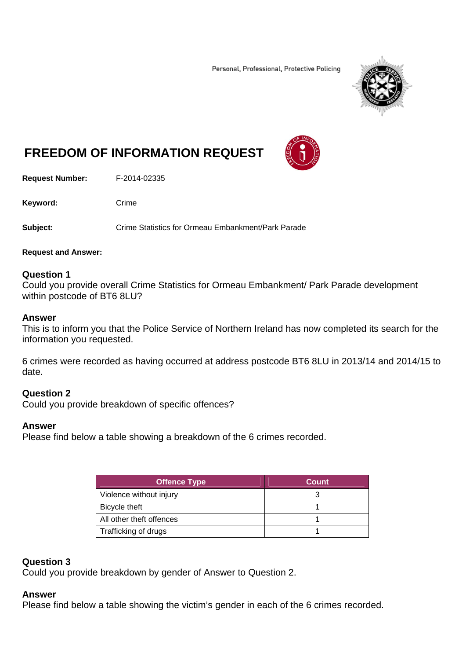Personal, Professional, Protective Policing



# **FREEDOM OF INFORMATION REQUEST**

**Request Number:** F-2014-02335

Keyword: Crime

**Subject:** Crime Statistics for Ormeau Embankment/Park Parade

#### **Request and Answer:**

## **Question 1**

Could you provide overall Crime Statistics for Ormeau Embankment/ Park Parade development within postcode of BT6 8LU?

#### **Answer**

This is to inform you that the Police Service of Northern Ireland has now completed its search for the information you requested.

6 crimes were recorded as having occurred at address postcode BT6 8LU in 2013/14 and 2014/15 to date.

## **Question 2**

Could you provide breakdown of specific offences?

### **Answer**

Please find below a table showing a breakdown of the 6 crimes recorded.

| <b>Offence Type</b>      | Count |  |
|--------------------------|-------|--|
| Violence without injury  |       |  |
| Bicycle theft            |       |  |
| All other theft offences |       |  |
| Trafficking of drugs     |       |  |

### **Question 3**

Could you provide breakdown by gender of Answer to Question 2.

#### **Answer**

Please find below a table showing the victim's gender in each of the 6 crimes recorded.